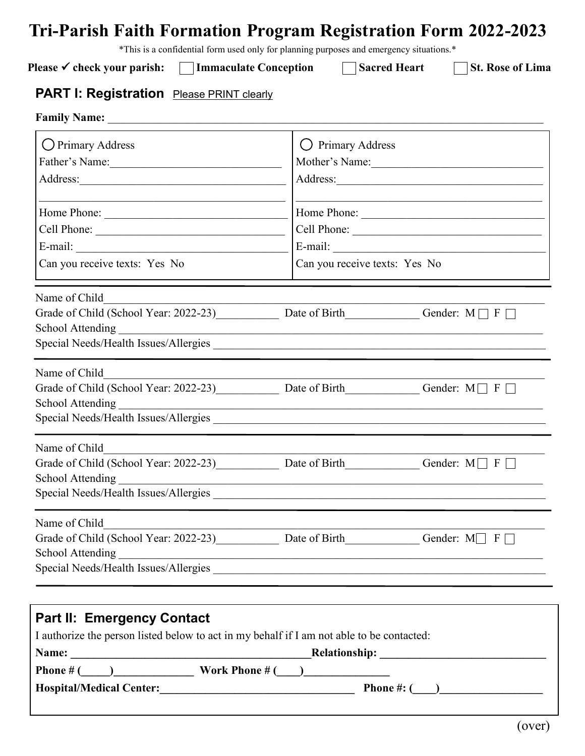# **Tri-Parish Faith Formation Program Registration Form 2022-2023**

\*This is a confidential form used only for planning purposes and emergency situations.\*

Please <del>✓</del> **check your parish:** Immaculate Conception Sacred Heart St. Rose of Lima

## **PART I: Registration** Please PRINT clearly

| <b>Family Name:</b>                             |                                                                                                                                                                                                                  |  |
|-------------------------------------------------|------------------------------------------------------------------------------------------------------------------------------------------------------------------------------------------------------------------|--|
| O Primary Address<br>Father's Name:<br>Address: | O Primary Address<br>Mother's Name:                                                                                                                                                                              |  |
| Home Phone:<br>Cell Phone:                      | Home Phone:<br>Cell Phone:                                                                                                                                                                                       |  |
| Can you receive texts: Yes No                   | Can you receive texts: Yes No                                                                                                                                                                                    |  |
| Name of Child<br><b>School Attending</b>        | Grade of Child (School Year: 2022-23) Date of Birth Grade Child (School Year: 2022-23)                                                                                                                           |  |
| Name of Child<br><b>School Attending</b>        | Grade of Child (School Year: 2022-23) Date of Birth Grade Child Gender: $M \Box F \Box$                                                                                                                          |  |
| Name of Child<br><b>School Attending</b>        | Grade of Child (School Year: 2022-23) Date of Birth Grade Child Gender: $M \Box F \Box$<br><u> 1990 - 1990 - 1990 - 1990 - 1990 - 1990 - 1990 - 1990 - 1990 - 1990 - 1990 - 1990 - 1990 - 1990 - 1990 - 1990</u> |  |
| Name of Child<br><b>School Attending</b>        | Grade of Child (School Year: 2022-23) Date of Birth Gender: $M \Box F \Box$                                                                                                                                      |  |
|                                                 |                                                                                                                                                                                                                  |  |

| <b>Part II: Emergency Contact</b> |                                                                                           |  |
|-----------------------------------|-------------------------------------------------------------------------------------------|--|
|                                   | I authorize the person listed below to act in my behalf if I am not able to be contacted: |  |
| Name:                             | <b>Relationship:</b>                                                                      |  |
| <b>Phone</b> # $($                |                                                                                           |  |
| <b>Hospital/Medical Center:</b>   | <b>Phone</b> #: $($                                                                       |  |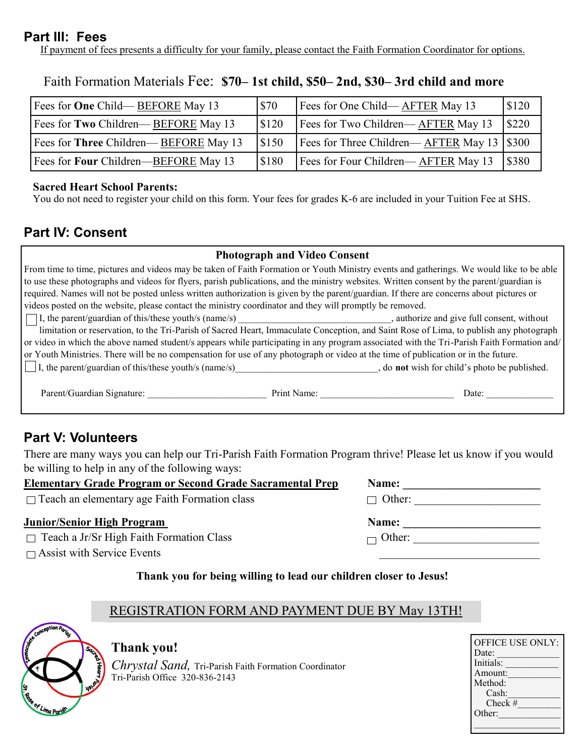## **Part III: Fees**

If payment of fees presents a difficulty for your family, please contact the Faith Formation Coordinator for options.

| Fees for <b>One</b> Child— <b>BEFORE</b> May 13 | \$70  | Fees for One Child—AFTER May 13                      | \$120 |
|-------------------------------------------------|-------|------------------------------------------------------|-------|
| Fees for Two Children—BEFORE May 13             | \$120 | Fees for Two Children—AFTER May 13                   | \$220 |
| Fees for Three Children—BEFORE May 13           | \$150 | Fees for Three Children—AFTER May 13 $\frac{1}{300}$ |       |
| Fees for <b>Four</b> Children—BEFORE May 13     | \$180 | Fees for Four Children—AFTER May 13                  | \$380 |

Faith Formation Materials Fee: **\$70– 1st child, \$50– 2nd, \$30– 3rd child and more**

#### **Sacred Heart School Parents:**

You do not need to register your child on this form. Your fees for grades K-6 are included in your Tuition Fee at SHS.

## **Part IV: Consent**

#### **Photograph and Video Consent**

| From time to time, pictures and videos may be taken of Faith Formation or Youth Ministry events and gatherings. We would like to be able  |
|-------------------------------------------------------------------------------------------------------------------------------------------|
| to use these photographs and videos for flyers, parish publications, and the ministry websites. Written consent by the parent/guardian is |
| required. Names will not be posted unless written authorization is given by the parent/guardian. If there are concerns about pictures or  |
| videos posted on the website, please contact the ministry coordinator and they will promptly be removed.                                  |

I, the parent/guardian of this/these youth/s (name/s) \_\_\_\_\_\_\_\_\_\_\_\_\_\_\_\_\_\_\_\_\_\_\_\_\_\_\_\_\_\_\_\_, authorize and give full consent, without limitation or reservation, to the Tri-Parish of Sacred Heart, Immaculate Conception, and Saint Rose of Lima, to publish any photograph or video in which the above named student/s appears while participating in any program associated with the Tri-Parish Faith Formation and/ or Youth Ministries. There will be no compensation for use of any photograph or video at the time of publication or in the future.

I, the parent/guardian of this/these youth/s (name/s)\_\_\_\_\_\_\_\_\_\_\_\_\_\_\_\_\_\_\_\_\_\_\_\_\_\_\_\_\_\_, do **not** wish for child's photo be published.

| .,<br>ниш<br>. на: | הו |
|--------------------|----|
|                    |    |

## **Part V: Volunteers**

There are many ways you can help our Tri-Parish Faith Formation Program thrive! Please let us know if you would be willing to help in any of the following ways:

#### **Elementary Grade Program or Second Grade Sacramental Prep Name:**

 $\Box$  Teach an elementary age Faith Formation class

#### **Junior/Senior High Program**

 $\Box$  Teach a Jr/Sr High Faith Formation Class  $\Box$  Other:

 $\Box$  Assist with Service Events

#### **Thank you for being willing to lead our children closer to Jesus!**

## REGISTRATION FORM AND PAYMENT DUE BY May 13TH!



## **Thank you!**

*Chrystal Sand,* Tri-Parish Faith Formation Coordinator Tri-Parish Office 320-836-2143

| <b>OFFICE USE ONLY:</b> |
|-------------------------|
| Date:                   |
| Initials:               |
| Amount:                 |
| Method:                 |
| Cash:                   |
| $Check$ #               |
| Other:                  |
|                         |
|                         |

| $\Box$ Other: |  |
|---------------|--|
|               |  |
| Name:         |  |